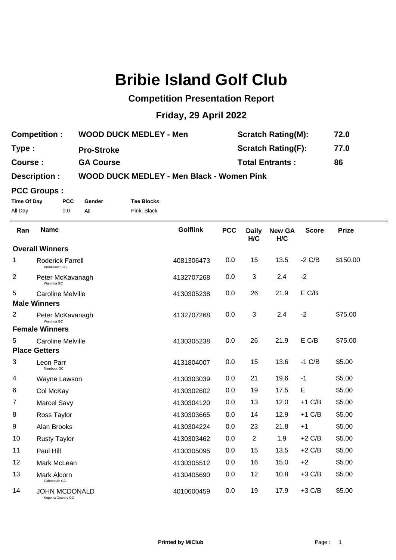# **Bribie Island Golf Club**

## **Competition Presentation Report**

## **Friday, 29 April 2022**

| <b>Competition:</b> | <b>WOOD DUCK MEDLEY - Men</b> | <b>Scratch Rating(M):</b> | 72.0 |
|---------------------|-------------------------------|---------------------------|------|
| Type:               | <b>Pro-Stroke</b>             | <b>Scratch Rating(F):</b> | 77.0 |
| Course:             | <b>GA Course</b>              | <b>Total Entrants:</b>    | 86   |
|                     |                               |                           |      |

### **Description : WOOD DUCK MEDLEY - Men Black - Women Pink**

#### **PCC Groups :**

J.

**Time Of Day PCC Gender Tee Blocks** All Day 0.0 All Pink, Black

| Ran | <b>Name</b>                                     | <b>Golflink</b> | <b>PCC</b> | <b>Daily</b><br>H/C | <b>New GA</b><br>H/C | <b>Score</b> | <b>Prize</b> |
|-----|-------------------------------------------------|-----------------|------------|---------------------|----------------------|--------------|--------------|
|     | <b>Overall Winners</b>                          |                 |            |                     |                      |              |              |
| 1   | <b>Roderick Farrell</b><br><b>Brookwater GC</b> | 4081306473      | 0.0        | 15                  | 13.5                 | $-2$ C/B     | \$150.00     |
| 2   | Peter McKavanagh<br>Wantima GC                  | 4132707268      | 0.0        | 3                   | 2.4                  | $-2$         |              |
| 5   | <b>Caroline Melville</b>                        | 4130305238      | 0.0        | 26                  | 21.9                 | E C/B        |              |
|     | <b>Male Winners</b>                             |                 |            |                     |                      |              |              |
| 2   | Peter McKavanagh<br>Wantima GC                  | 4132707268      | 0.0        | 3                   | 2.4                  | $-2$         | \$75.00      |
|     | <b>Female Winners</b>                           |                 |            |                     |                      |              |              |
| 5   | <b>Caroline Melville</b>                        | 4130305238      | 0.0        | 26                  | 21.9                 | E C/B        | \$75.00      |
|     | <b>Place Getters</b>                            |                 |            |                     |                      |              |              |
| 3   | Leon Parr<br>Nambour GC                         | 4131804007      | 0.0        | 15                  | 13.6                 | $-1$ C/B     | \$5.00       |
| 4   | Wayne Lawson                                    | 4130303039      | 0.0        | 21                  | 19.6                 | $-1$         | \$5.00       |
| 6   | Col McKay                                       | 4130302602      | 0.0        | 19                  | 17.5                 | E            | \$5.00       |
| 7   | <b>Marcel Savy</b>                              | 4130304120      | 0.0        | 13                  | 12.0                 | $+1$ C/B     | \$5.00       |
| 8   | Ross Taylor                                     | 4130303665      | 0.0        | 14                  | 12.9                 | $+1$ C/B     | \$5.00       |
| 9   | Alan Brooks                                     | 4130304224      | 0.0        | 23                  | 21.8                 | $+1$         | \$5.00       |
| 10  | <b>Rusty Taylor</b>                             | 4130303462      | 0.0        | $\overline{2}$      | 1.9                  | $+2$ C/B     | \$5.00       |
| 11  | Paul Hill                                       | 4130305095      | 0.0        | 15                  | 13.5                 | $+2$ C/B     | \$5.00       |
| 12  | Mark McLean                                     | 4130305512      | 0.0        | 16                  | 15.0                 | $+2$         | \$5.00       |
| 13  | Mark Alcorn<br>Caboolture GC                    | 4130405690      | 0.0        | 12                  | 10.8                 | $+3$ C/B     | \$5.00       |
| 14  | <b>JOHN MCDONALD</b><br>Keperra Country GC      | 4010600459      | 0.0        | 19                  | 17.9                 | $+3$ C/B     | \$5.00       |